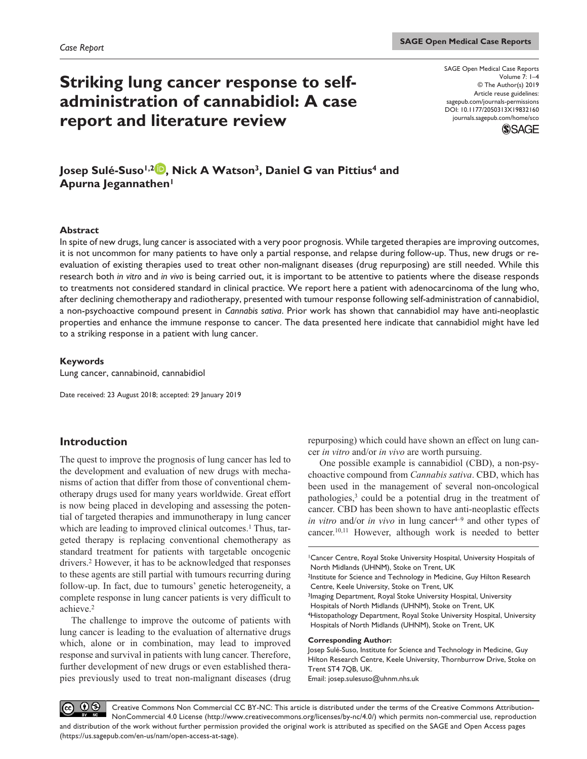### **SAGE Open Medical Case Reports**

# **Striking lung cancer response to selfadministration of cannabidiol: A case report and literature review**

DOI: 10.1177/2050313X19832160 SAGE Open Medical Case Reports Volume 7: 1–4 © The Author(s) 2019 Article reuse guidelines: [sagepub.com/journals-permissions](https://uk.sagepub.com/en-gb/journals-permissions) [journals.sagepub.com/home/sco](https://journals.sagepub.com/home/sco)



## **Josep Sulé-Suso1,2 , Nick A Watson3, Daniel G van Pittius4 and**  Apurna Jegannathen<sup>1</sup>

## **Abstract**

In spite of new drugs, lung cancer is associated with a very poor prognosis. While targeted therapies are improving outcomes, it is not uncommon for many patients to have only a partial response, and relapse during follow-up. Thus, new drugs or reevaluation of existing therapies used to treat other non-malignant diseases (drug repurposing) are still needed. While this research both *in vitro* and *in vivo* is being carried out, it is important to be attentive to patients where the disease responds to treatments not considered standard in clinical practice. We report here a patient with adenocarcinoma of the lung who, after declining chemotherapy and radiotherapy, presented with tumour response following self-administration of cannabidiol, a non-psychoactive compound present in *Cannabis sativa*. Prior work has shown that cannabidiol may have anti-neoplastic properties and enhance the immune response to cancer. The data presented here indicate that cannabidiol might have led to a striking response in a patient with lung cancer.

## **Keywords**

Lung cancer, cannabinoid, cannabidiol

Date received: 23 August 2018; accepted: 29 January 2019

## **Introduction**

The quest to improve the prognosis of lung cancer has led to the development and evaluation of new drugs with mechanisms of action that differ from those of conventional chemotherapy drugs used for many years worldwide. Great effort is now being placed in developing and assessing the potential of targeted therapies and immunotherapy in lung cancer which are leading to improved clinical outcomes.<sup>1</sup> Thus, targeted therapy is replacing conventional chemotherapy as standard treatment for patients with targetable oncogenic drivers.2 However, it has to be acknowledged that responses to these agents are still partial with tumours recurring during follow-up. In fact, due to tumours' genetic heterogeneity, a complete response in lung cancer patients is very difficult to achieve.2

The challenge to improve the outcome of patients with lung cancer is leading to the evaluation of alternative drugs which, alone or in combination, may lead to improved response and survival in patients with lung cancer. Therefore, further development of new drugs or even established therapies previously used to treat non-malignant diseases (drug repurposing) which could have shown an effect on lung cancer *in vitro* and/or *in vivo* are worth pursuing.

One possible example is cannabidiol (CBD), a non-psychoactive compound from *Cannabis sativa*. CBD, which has been used in the management of several non-oncological pathologies,3 could be a potential drug in the treatment of cancer. CBD has been shown to have anti-neoplastic effects *in vitro* and/or *in vivo* in lung cancer<sup>4-9</sup> and other types of cancer.10,11 However, although work is needed to better

2Institute for Science and Technology in Medicine, Guy Hilton Research Centre, Keele University, Stoke on Trent, UK

3Imaging Department, Royal Stoke University Hospital, University Hospitals of North Midlands (UHNM), Stoke on Trent, UK 4Histopathology Department, Royal Stoke University Hospital, University

Hospitals of North Midlands (UHNM), Stoke on Trent, UK

**Corresponding Author:**

Josep Sulé-Suso, Institute for Science and Technology in Medicine, Guy Hilton Research Centre, Keele University, Thornburrow Drive, Stoke on Trent ST4 7QB, UK.

Email: josep.sulesuso@uhnm.nhs.uk

 $\odot$ Creative Commons Non Commercial CC BY-NC: This article is distributed under the terms of the Creative Commons Attribution-NonCommercial 4.0 License (http://www.creativecommons.org/licenses/by-nc/4.0/) which permits non-commercial use, reproduction and distribution of the work without further permission provided the original work is attributed as specified on the SAGE and Open Access pages (https://us.sagepub.com/en-us/nam/open-access-at-sage).

<sup>1</sup>Cancer Centre, Royal Stoke University Hospital, University Hospitals of North Midlands (UHNM), Stoke on Trent, UK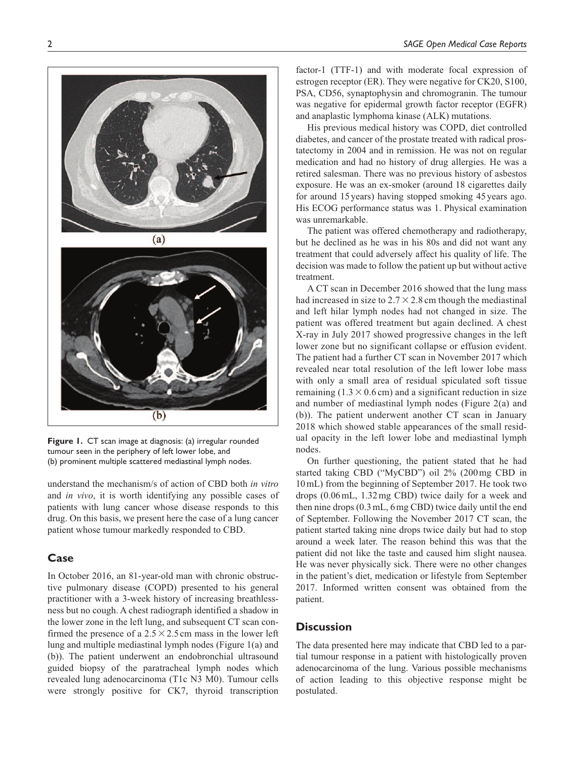$(a)$  $(b)$ 

**Figure 1.** CT scan image at diagnosis: (a) irregular rounded tumour seen in the periphery of left lower lobe, and (b) prominent multiple scattered mediastinal lymph nodes.

understand the mechanism/s of action of CBD both *in vitro* and *in vivo*, it is worth identifying any possible cases of patients with lung cancer whose disease responds to this drug. On this basis, we present here the case of a lung cancer patient whose tumour markedly responded to CBD.

## **Case**

In October 2016, an 81-year-old man with chronic obstructive pulmonary disease (COPD) presented to his general practitioner with a 3-week history of increasing breathlessness but no cough. A chest radiograph identified a shadow in the lower zone in the left lung, and subsequent CT scan confirmed the presence of a  $2.5 \times 2.5$  cm mass in the lower left lung and multiple mediastinal lymph nodes (Figure 1(a) and (b)). The patient underwent an endobronchial ultrasound guided biopsy of the paratracheal lymph nodes which revealed lung adenocarcinoma (T1c N3 M0). Tumour cells were strongly positive for CK7, thyroid transcription factor-1 (TTF-1) and with moderate focal expression of estrogen receptor (ER). They were negative for CK20, S100, PSA, CD56, synaptophysin and chromogranin. The tumour was negative for epidermal growth factor receptor (EGFR) and anaplastic lymphoma kinase (ALK) mutations.

His previous medical history was COPD, diet controlled diabetes, and cancer of the prostate treated with radical prostatectomy in 2004 and in remission. He was not on regular medication and had no history of drug allergies. He was a retired salesman. There was no previous history of asbestos exposure. He was an ex-smoker (around 18 cigarettes daily for around 15 years) having stopped smoking 45 years ago. His ECOG performance status was 1. Physical examination was unremarkable.

The patient was offered chemotherapy and radiotherapy, but he declined as he was in his 80s and did not want any treatment that could adversely affect his quality of life. The decision was made to follow the patient up but without active treatment.

A CT scan in December 2016 showed that the lung mass had increased in size to  $2.7 \times 2.8$  cm though the mediastinal and left hilar lymph nodes had not changed in size. The patient was offered treatment but again declined. A chest X-ray in July 2017 showed progressive changes in the left lower zone but no significant collapse or effusion evident. The patient had a further CT scan in November 2017 which revealed near total resolution of the left lower lobe mass with only a small area of residual spiculated soft tissue remaining  $(1.3 \times 0.6 \text{ cm})$  and a significant reduction in size and number of mediastinal lymph nodes (Figure 2(a) and (b)). The patient underwent another CT scan in January 2018 which showed stable appearances of the small residual opacity in the left lower lobe and mediastinal lymph nodes.

On further questioning, the patient stated that he had started taking CBD ("MyCBD") oil 2% (200mg CBD in 10mL) from the beginning of September 2017. He took two drops (0.06mL, 1.32mg CBD) twice daily for a week and then nine drops (0.3mL, 6mg CBD) twice daily until the end of September. Following the November 2017 CT scan, the patient started taking nine drops twice daily but had to stop around a week later. The reason behind this was that the patient did not like the taste and caused him slight nausea. He was never physically sick. There were no other changes in the patient's diet, medication or lifestyle from September 2017. Informed written consent was obtained from the patient.

## **Discussion**

The data presented here may indicate that CBD led to a partial tumour response in a patient with histologically proven adenocarcinoma of the lung. Various possible mechanisms of action leading to this objective response might be postulated.

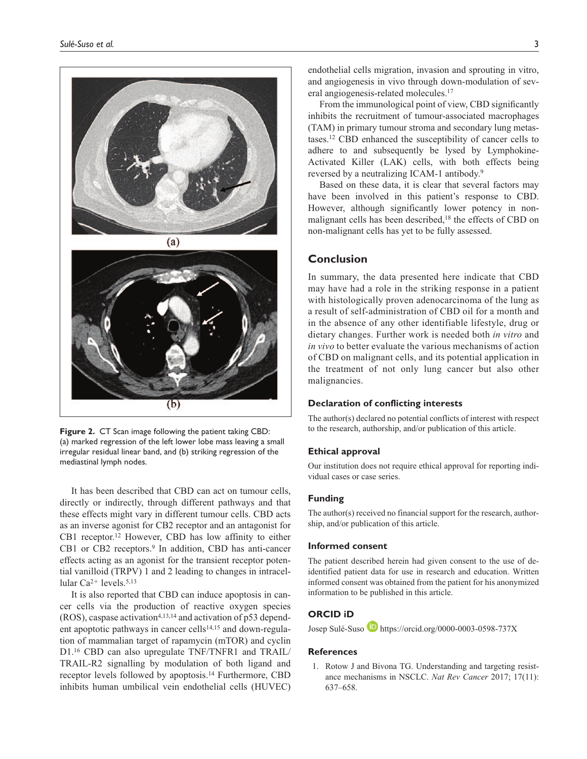

**Figure 2.** CT Scan image following the patient taking CBD: (a) marked regression of the left lower lobe mass leaving a small irregular residual linear band, and (b) striking regression of the mediastinal lymph nodes.

It has been described that CBD can act on tumour cells, directly or indirectly, through different pathways and that these effects might vary in different tumour cells. CBD acts as an inverse agonist for CB2 receptor and an antagonist for CB1 receptor.12 However, CBD has low affinity to either CB1 or CB2 receptors.<sup>9</sup> In addition, CBD has anti-cancer effects acting as an agonist for the transient receptor potential vanilloid (TRPV) 1 and 2 leading to changes in intracellular Ca2+ levels.5,13

It is also reported that CBD can induce apoptosis in cancer cells via the production of reactive oxygen species (ROS), caspase activation<sup>4,13,14</sup> and activation of  $p53$  dependent apoptotic pathways in cancer cells<sup>14,15</sup> and down-regulation of mammalian target of rapamycin (mTOR) and cyclin D1.16 CBD can also upregulate TNF/TNFR1 and TRAIL/ TRAIL-R2 signalling by modulation of both ligand and receptor levels followed by apoptosis.14 Furthermore, CBD inhibits human umbilical vein endothelial cells (HUVEC) endothelial cells migration, invasion and sprouting in vitro, and angiogenesis in vivo through down-modulation of several angiogenesis-related molecules.17

From the immunological point of view, CBD significantly inhibits the recruitment of tumour-associated macrophages (TAM) in primary tumour stroma and secondary lung metastases.12 CBD enhanced the susceptibility of cancer cells to adhere to and subsequently be lysed by Lymphokine-Activated Killer (LAK) cells, with both effects being reversed by a neutralizing ICAM-1 antibody.9

Based on these data, it is clear that several factors may have been involved in this patient's response to CBD. However, although significantly lower potency in nonmalignant cells has been described,<sup>18</sup> the effects of CBD on non-malignant cells has yet to be fully assessed.

## **Conclusion**

In summary, the data presented here indicate that CBD may have had a role in the striking response in a patient with histologically proven adenocarcinoma of the lung as a result of self-administration of CBD oil for a month and in the absence of any other identifiable lifestyle, drug or dietary changes. Further work is needed both *in vitro* and *in vivo* to better evaluate the various mechanisms of action of CBD on malignant cells, and its potential application in the treatment of not only lung cancer but also other malignancies.

### **Declaration of conflicting interests**

The author(s) declared no potential conflicts of interest with respect to the research, authorship, and/or publication of this article.

## **Ethical approval**

Our institution does not require ethical approval for reporting individual cases or case series.

#### **Funding**

The author(s) received no financial support for the research, authorship, and/or publication of this article.

## **Informed consent**

The patient described herein had given consent to the use of deidentified patient data for use in research and education. Written informed consent was obtained from the patient for his anonymized information to be published in this article.

## **ORCID iD**

Josep Sulé-Suso **https://orcid.org/0000-0003-0598-737X** 

#### **References**

1. Rotow J and Bivona TG. Understanding and targeting resistance mechanisms in NSCLC. *Nat Rev Cancer* 2017; 17(11): 637–658.